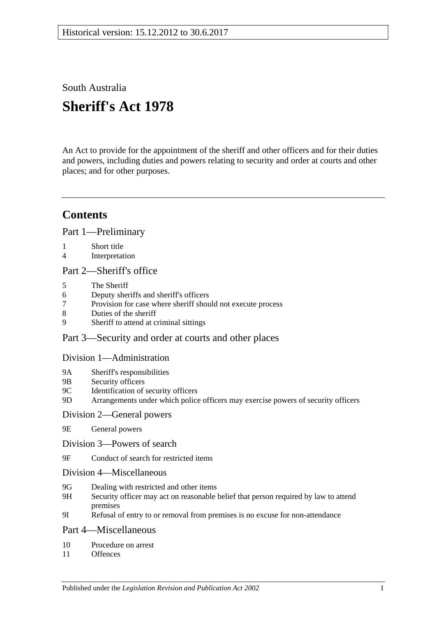South Australia

# **Sheriff's Act 1978**

An Act to provide for the appointment of the sheriff and other officers and for their duties and powers, including duties and powers relating to security and order at courts and other places; and for other purposes.

## **Contents**

[Part 1—Preliminary](#page-1-0)

- 1 [Short title](#page-1-1)
- 4 [Interpretation](#page-1-2)

#### [Part 2—Sheriff's office](#page-2-0)

- 5 [The Sheriff](#page-2-1)
- 6 [Deputy sheriffs and sheriff's officers](#page-3-0)
- 7 Provision for case [where sheriff should not execute process](#page-3-1)
- 8 [Duties of the sheriff](#page-3-2)
- 9 [Sheriff to attend at criminal sittings](#page-4-0)

#### [Part 3—Security and order at courts and other places](#page-4-1)

#### [Division 1—Administration](#page-4-2)

- 9A [Sheriff's responsibilities](#page-4-3)
- 9B [Security officers](#page-4-4)
- 9C [Identification of security officers](#page-4-5)
- 9D [Arrangements under which police officers may exercise powers of security officers](#page-5-0)

#### [Division 2—General powers](#page-5-1)

- 9E [General powers](#page-5-2)
- [Division 3—Powers of search](#page-6-0)
- 9F [Conduct of search for restricted items](#page-6-1)
- [Division 4—Miscellaneous](#page-8-0)
- 9G [Dealing with restricted and other items](#page-8-1)
- 9H [Security officer may act on reasonable belief that person required by law to attend](#page-9-0)  [premises](#page-9-0)
- 9I [Refusal of entry to or removal from premises is no excuse for non-attendance](#page-9-1)

#### [Part 4—Miscellaneous](#page-9-2)

- 10 [Procedure on arrest](#page-9-3)
- 11 [Offences](#page-10-0)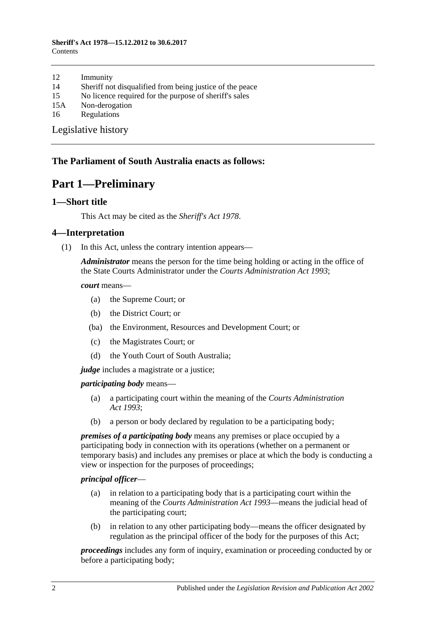#### **Sheriff's Act 1978—15.12.2012 to 30.6.2017 Contents**

- 12 [Immunity](#page-10-1)
- 14 [Sheriff not disqualified from being justice of the peace](#page-10-2)
- 15 [No licence required for the purpose of sheriff's sales](#page-10-3)
- 15A [Non-derogation](#page-10-4)
- 16 [Regulations](#page-10-5)

[Legislative history](#page-12-0)

#### <span id="page-1-0"></span>**The Parliament of South Australia enacts as follows:**

## **Part 1—Preliminary**

#### <span id="page-1-1"></span>**1—Short title**

This Act may be cited as the *Sheriff's Act 1978*.

#### <span id="page-1-2"></span>**4—Interpretation**

(1) In this Act, unless the contrary intention appears—

*Administrator* means the person for the time being holding or acting in the office of the State Courts Administrator under the *[Courts Administration Act](http://www.legislation.sa.gov.au/index.aspx?action=legref&type=act&legtitle=Courts%20Administration%20Act%201993) 1993*;

*court* means—

- (a) the Supreme Court; or
- (b) the District Court; or
- (ba) the Environment, Resources and Development Court; or
- (c) the Magistrates Court; or
- (d) the Youth Court of South Australia;

*judge* includes a magistrate or a justice;

*participating body* means—

- (a) a participating court within the meaning of the *[Courts Administration](http://www.legislation.sa.gov.au/index.aspx?action=legref&type=act&legtitle=Courts%20Administration%20Act%201993)  Act [1993](http://www.legislation.sa.gov.au/index.aspx?action=legref&type=act&legtitle=Courts%20Administration%20Act%201993)*;
- (b) a person or body declared by regulation to be a participating body;

*premises of a participating body* means any premises or place occupied by a participating body in connection with its operations (whether on a permanent or temporary basis) and includes any premises or place at which the body is conducting a view or inspection for the purposes of proceedings;

#### *principal officer*—

- (a) in relation to a participating body that is a participating court within the meaning of the *[Courts Administration Act](http://www.legislation.sa.gov.au/index.aspx?action=legref&type=act&legtitle=Courts%20Administration%20Act%201993) 1993*—means the judicial head of the participating court;
- (b) in relation to any other participating body—means the officer designated by regulation as the principal officer of the body for the purposes of this Act;

*proceedings* includes any form of inquiry, examination or proceeding conducted by or before a participating body;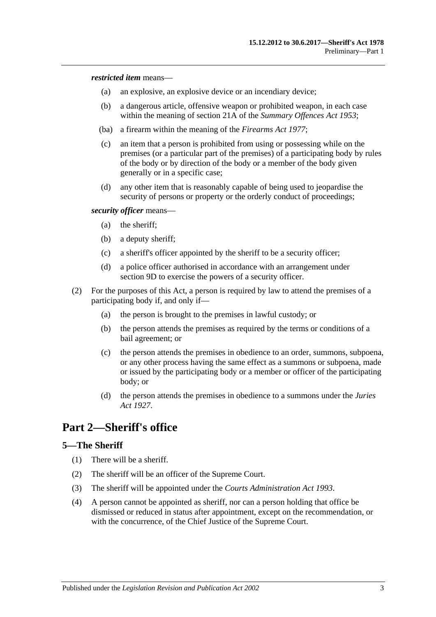*restricted item* means—

- (a) an explosive, an explosive device or an incendiary device;
- (b) a dangerous article, offensive weapon or prohibited weapon, in each case within the meaning of section 21A of the *[Summary Offences Act](http://www.legislation.sa.gov.au/index.aspx?action=legref&type=act&legtitle=Summary%20Offences%20Act%201953) 1953*;
- (ba) a firearm within the meaning of the *[Firearms Act](http://www.legislation.sa.gov.au/index.aspx?action=legref&type=act&legtitle=Firearms%20Act%201977) 1977*;
- (c) an item that a person is prohibited from using or possessing while on the premises (or a particular part of the premises) of a participating body by rules of the body or by direction of the body or a member of the body given generally or in a specific case;
- (d) any other item that is reasonably capable of being used to jeopardise the security of persons or property or the orderly conduct of proceedings;

*security officer* means—

- (a) the sheriff;
- (b) a deputy sheriff;
- (c) a sheriff's officer appointed by the sheriff to be a security officer;
- (d) a police officer authorised in accordance with an arrangement under [section](#page-5-0) 9D to exercise the powers of a security officer.
- (2) For the purposes of this Act, a person is required by law to attend the premises of a participating body if, and only if—
	- (a) the person is brought to the premises in lawful custody; or
	- (b) the person attends the premises as required by the terms or conditions of a bail agreement; or
	- (c) the person attends the premises in obedience to an order, summons, subpoena, or any other process having the same effect as a summons or subpoena, made or issued by the participating body or a member or officer of the participating body; or
	- (d) the person attends the premises in obedience to a summons under the *[Juries](http://www.legislation.sa.gov.au/index.aspx?action=legref&type=act&legtitle=Juries%20Act%201927)  Act [1927](http://www.legislation.sa.gov.au/index.aspx?action=legref&type=act&legtitle=Juries%20Act%201927)*.

## <span id="page-2-0"></span>**Part 2—Sheriff's office**

#### <span id="page-2-1"></span>**5—The Sheriff**

- (1) There will be a sheriff.
- (2) The sheriff will be an officer of the Supreme Court.
- (3) The sheriff will be appointed under the *[Courts Administration Act](http://www.legislation.sa.gov.au/index.aspx?action=legref&type=act&legtitle=Courts%20Administration%20Act%201993) 1993*.
- (4) A person cannot be appointed as sheriff, nor can a person holding that office be dismissed or reduced in status after appointment, except on the recommendation, or with the concurrence, of the Chief Justice of the Supreme Court.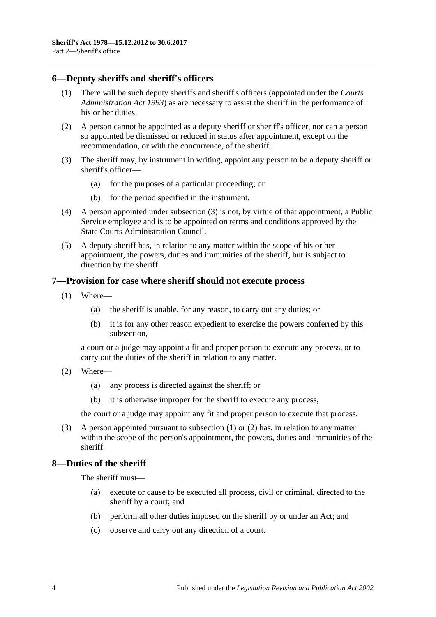#### <span id="page-3-0"></span>**6—Deputy sheriffs and sheriff's officers**

- (1) There will be such deputy sheriffs and sheriff's officers (appointed under the *[Courts](http://www.legislation.sa.gov.au/index.aspx?action=legref&type=act&legtitle=Courts%20Administration%20Act%201993)  [Administration Act](http://www.legislation.sa.gov.au/index.aspx?action=legref&type=act&legtitle=Courts%20Administration%20Act%201993) 1993*) as are necessary to assist the sheriff in the performance of his or her duties.
- (2) A person cannot be appointed as a deputy sheriff or sheriff's officer, nor can a person so appointed be dismissed or reduced in status after appointment, except on the recommendation, or with the concurrence, of the sheriff.
- <span id="page-3-3"></span>(3) The sheriff may, by instrument in writing, appoint any person to be a deputy sheriff or sheriff's officer—
	- (a) for the purposes of a particular proceeding; or
	- (b) for the period specified in the instrument.
- (4) A person appointed under [subsection](#page-3-3) (3) is not, by virtue of that appointment, a Public Service employee and is to be appointed on terms and conditions approved by the State Courts Administration Council.
- (5) A deputy sheriff has, in relation to any matter within the scope of his or her appointment, the powers, duties and immunities of the sheriff, but is subject to direction by the sheriff.

#### <span id="page-3-4"></span><span id="page-3-1"></span>**7—Provision for case where sheriff should not execute process**

- (1) Where—
	- (a) the sheriff is unable, for any reason, to carry out any duties; or
	- (b) it is for any other reason expedient to exercise the powers conferred by this subsection,

a court or a judge may appoint a fit and proper person to execute any process, or to carry out the duties of the sheriff in relation to any matter.

- <span id="page-3-5"></span>(2) Where—
	- (a) any process is directed against the sheriff; or
	- (b) it is otherwise improper for the sheriff to execute any process,

the court or a judge may appoint any fit and proper person to execute that process.

(3) A person appointed pursuant to [subsection](#page-3-4) (1) or [\(2\)](#page-3-5) has, in relation to any matter within the scope of the person's appointment, the powers, duties and immunities of the sheriff.

#### <span id="page-3-2"></span>**8—Duties of the sheriff**

The sheriff must—

- (a) execute or cause to be executed all process, civil or criminal, directed to the sheriff by a court; and
- (b) perform all other duties imposed on the sheriff by or under an Act; and
- (c) observe and carry out any direction of a court.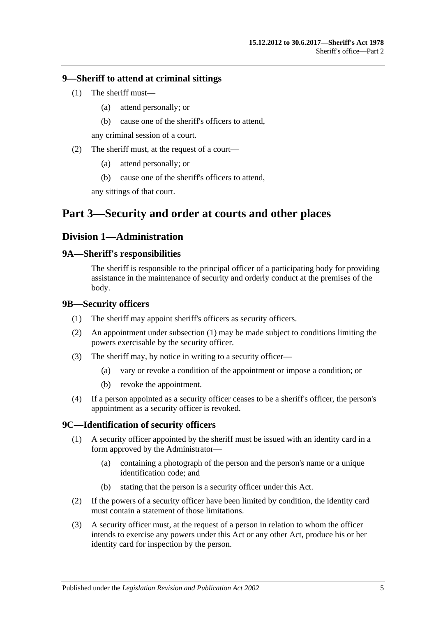#### <span id="page-4-0"></span>**9—Sheriff to attend at criminal sittings**

- (1) The sheriff must—
	- (a) attend personally; or
	- (b) cause one of the sheriff's officers to attend,

any criminal session of a court.

- (2) The sheriff must, at the request of a court—
	- (a) attend personally; or
	- (b) cause one of the sheriff's officers to attend,

any sittings of that court.

## <span id="page-4-2"></span><span id="page-4-1"></span>**Part 3—Security and order at courts and other places**

#### **Division 1—Administration**

#### <span id="page-4-3"></span>**9A—Sheriff's responsibilities**

The sheriff is responsible to the principal officer of a participating body for providing assistance in the maintenance of security and orderly conduct at the premises of the body.

#### <span id="page-4-6"></span><span id="page-4-4"></span>**9B—Security officers**

- (1) The sheriff may appoint sheriff's officers as security officers.
- (2) An appointment under [subsection](#page-4-6) (1) may be made subject to conditions limiting the powers exercisable by the security officer.
- (3) The sheriff may, by notice in writing to a security officer—
	- (a) vary or revoke a condition of the appointment or impose a condition; or
	- (b) revoke the appointment.
- (4) If a person appointed as a security officer ceases to be a sheriff's officer, the person's appointment as a security officer is revoked.

#### <span id="page-4-5"></span>**9C—Identification of security officers**

- (1) A security officer appointed by the sheriff must be issued with an identity card in a form approved by the Administrator—
	- (a) containing a photograph of the person and the person's name or a unique identification code; and
	- (b) stating that the person is a security officer under this Act.
- (2) If the powers of a security officer have been limited by condition, the identity card must contain a statement of those limitations.
- (3) A security officer must, at the request of a person in relation to whom the officer intends to exercise any powers under this Act or any other Act, produce his or her identity card for inspection by the person.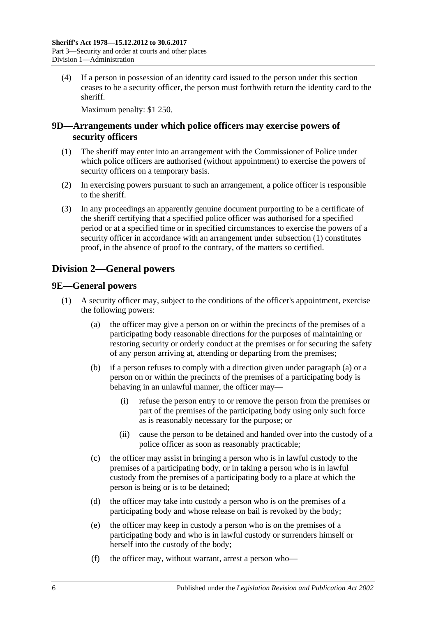(4) If a person in possession of an identity card issued to the person under this section ceases to be a security officer, the person must forthwith return the identity card to the sheriff.

Maximum penalty: \$1 250.

#### <span id="page-5-0"></span>**9D—Arrangements under which police officers may exercise powers of security officers**

- <span id="page-5-3"></span>(1) The sheriff may enter into an arrangement with the Commissioner of Police under which police officers are authorised (without appointment) to exercise the powers of security officers on a temporary basis.
- (2) In exercising powers pursuant to such an arrangement, a police officer is responsible to the sheriff.
- (3) In any proceedings an apparently genuine document purporting to be a certificate of the sheriff certifying that a specified police officer was authorised for a specified period or at a specified time or in specified circumstances to exercise the powers of a security officer in accordance with an arrangement under [subsection](#page-5-3) (1) constitutes proof, in the absence of proof to the contrary, of the matters so certified.

## <span id="page-5-1"></span>**Division 2—General powers**

#### <span id="page-5-2"></span>**9E—General powers**

- <span id="page-5-4"></span>(1) A security officer may, subject to the conditions of the officer's appointment, exercise the following powers:
	- (a) the officer may give a person on or within the precincts of the premises of a participating body reasonable directions for the purposes of maintaining or restoring security or orderly conduct at the premises or for securing the safety of any person arriving at, attending or departing from the premises;
	- (b) if a person refuses to comply with a direction given under [paragraph](#page-5-4) (a) or a person on or within the precincts of the premises of a participating body is behaving in an unlawful manner, the officer may—
		- (i) refuse the person entry to or remove the person from the premises or part of the premises of the participating body using only such force as is reasonably necessary for the purpose; or
		- (ii) cause the person to be detained and handed over into the custody of a police officer as soon as reasonably practicable;
	- (c) the officer may assist in bringing a person who is in lawful custody to the premises of a participating body, or in taking a person who is in lawful custody from the premises of a participating body to a place at which the person is being or is to be detained;
	- (d) the officer may take into custody a person who is on the premises of a participating body and whose release on bail is revoked by the body;
	- (e) the officer may keep in custody a person who is on the premises of a participating body and who is in lawful custody or surrenders himself or herself into the custody of the body;
	- (f) the officer may, without warrant, arrest a person who—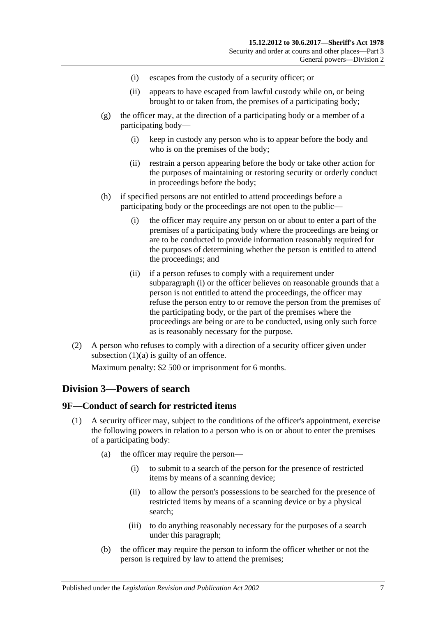- (i) escapes from the custody of a security officer; or
- (ii) appears to have escaped from lawful custody while on, or being brought to or taken from, the premises of a participating body;
- (g) the officer may, at the direction of a participating body or a member of a participating body—
	- (i) keep in custody any person who is to appear before the body and who is on the premises of the body;
	- (ii) restrain a person appearing before the body or take other action for the purposes of maintaining or restoring security or orderly conduct in proceedings before the body;
- <span id="page-6-2"></span>(h) if specified persons are not entitled to attend proceedings before a participating body or the proceedings are not open to the public—
	- (i) the officer may require any person on or about to enter a part of the premises of a participating body where the proceedings are being or are to be conducted to provide information reasonably required for the purposes of determining whether the person is entitled to attend the proceedings; and
	- (ii) if a person refuses to comply with a requirement under [subparagraph](#page-6-2) (i) or the officer believes on reasonable grounds that a person is not entitled to attend the proceedings, the officer may refuse the person entry to or remove the person from the premises of the participating body, or the part of the premises where the proceedings are being or are to be conducted, using only such force as is reasonably necessary for the purpose.
- (2) A person who refuses to comply with a direction of a security officer given under [subsection](#page-5-4)  $(1)(a)$  is guilty of an offence.

Maximum penalty: \$2 500 or imprisonment for 6 months.

#### <span id="page-6-0"></span>**Division 3—Powers of search**

#### <span id="page-6-4"></span><span id="page-6-1"></span>**9F—Conduct of search for restricted items**

- <span id="page-6-6"></span><span id="page-6-5"></span><span id="page-6-3"></span>(1) A security officer may, subject to the conditions of the officer's appointment, exercise the following powers in relation to a person who is on or about to enter the premises of a participating body:
	- (a) the officer may require the person—
		- (i) to submit to a search of the person for the presence of restricted items by means of a scanning device;
		- (ii) to allow the person's possessions to be searched for the presence of restricted items by means of a scanning device or by a physical search;
		- (iii) to do anything reasonably necessary for the purposes of a search under this paragraph;
	- (b) the officer may require the person to inform the officer whether or not the person is required by law to attend the premises;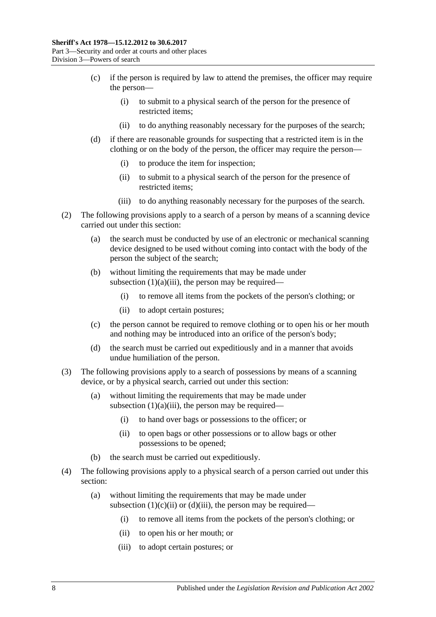- (c) if the person is required by law to attend the premises, the officer may require the person—
	- (i) to submit to a physical search of the person for the presence of restricted items;
	- (ii) to do anything reasonably necessary for the purposes of the search;
- <span id="page-7-0"></span>(d) if there are reasonable grounds for suspecting that a restricted item is in the clothing or on the body of the person, the officer may require the person—
	- (i) to produce the item for inspection;
	- (ii) to submit to a physical search of the person for the presence of restricted items;
	- (iii) to do anything reasonably necessary for the purposes of the search.
- <span id="page-7-1"></span>(2) The following provisions apply to a search of a person by means of a scanning device carried out under this section:
	- (a) the search must be conducted by use of an electronic or mechanical scanning device designed to be used without coming into contact with the body of the person the subject of the search;
	- (b) without limiting the requirements that may be made under [subsection](#page-6-3)  $(1)(a)(iii)$ , the person may be required—
		- (i) to remove all items from the pockets of the person's clothing; or
		- (ii) to adopt certain postures;
	- (c) the person cannot be required to remove clothing or to open his or her mouth and nothing may be introduced into an orifice of the person's body;
	- (d) the search must be carried out expeditiously and in a manner that avoids undue humiliation of the person.
- (3) The following provisions apply to a search of possessions by means of a scanning device, or by a physical search, carried out under this section:
	- (a) without limiting the requirements that may be made under [subsection](#page-6-3)  $(1)(a)(iii)$ , the person may be required—
		- (i) to hand over bags or possessions to the officer; or
		- (ii) to open bags or other possessions or to allow bags or other possessions to be opened;
	- (b) the search must be carried out expeditiously.
- (4) The following provisions apply to a physical search of a person carried out under this section:
	- (a) without limiting the requirements that may be made under [subsection](#page-7-0)  $(1)(c)(ii)$  or  $(d)(iii)$ , the person may be required—
		- (i) to remove all items from the pockets of the person's clothing; or
		- (ii) to open his or her mouth; or
		- (iii) to adopt certain postures; or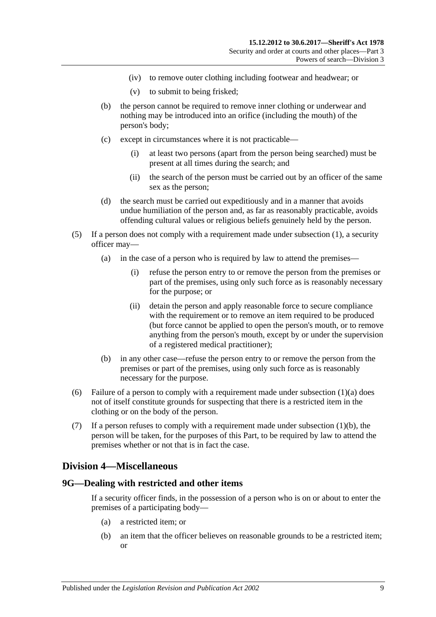- (iv) to remove outer clothing including footwear and headwear; or
- (v) to submit to being frisked;
- (b) the person cannot be required to remove inner clothing or underwear and nothing may be introduced into an orifice (including the mouth) of the person's body;
- (c) except in circumstances where it is not practicable—
	- (i) at least two persons (apart from the person being searched) must be present at all times during the search; and
	- (ii) the search of the person must be carried out by an officer of the same sex as the person;
- (d) the search must be carried out expeditiously and in a manner that avoids undue humiliation of the person and, as far as reasonably practicable, avoids offending cultural values or religious beliefs genuinely held by the person.
- (5) If a person does not comply with a requirement made under [subsection](#page-6-4) (1), a security officer may—
	- (a) in the case of a person who is required by law to attend the premises—
		- (i) refuse the person entry to or remove the person from the premises or part of the premises, using only such force as is reasonably necessary for the purpose; or
		- (ii) detain the person and apply reasonable force to secure compliance with the requirement or to remove an item required to be produced (but force cannot be applied to open the person's mouth, or to remove anything from the person's mouth, except by or under the supervision of a registered medical practitioner);
	- (b) in any other case—refuse the person entry to or remove the person from the premises or part of the premises, using only such force as is reasonably necessary for the purpose.
- (6) Failure of a person to comply with a requirement made under [subsection](#page-6-5)  $(1)(a)$  does not of itself constitute grounds for suspecting that there is a restricted item in the clothing or on the body of the person.
- (7) If a person refuses to comply with a requirement made under [subsection](#page-6-6) (1)(b), the person will be taken, for the purposes of this Part, to be required by law to attend the premises whether or not that is in fact the case.

#### <span id="page-8-0"></span>**Division 4—Miscellaneous**

#### <span id="page-8-2"></span><span id="page-8-1"></span>**9G—Dealing with restricted and other items**

If a security officer finds, in the possession of a person who is on or about to enter the premises of a participating body—

- (a) a restricted item; or
- <span id="page-8-3"></span>(b) an item that the officer believes on reasonable grounds to be a restricted item; or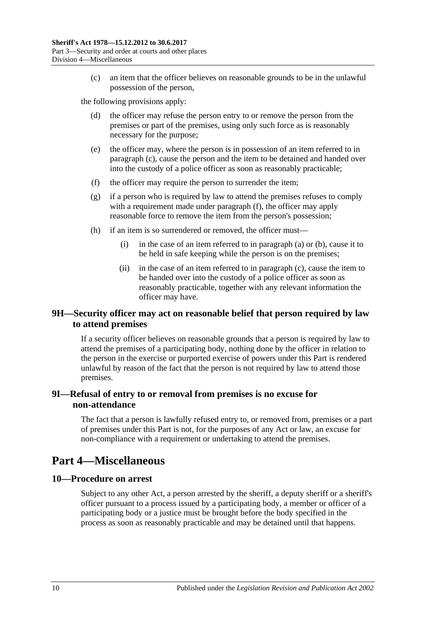(c) an item that the officer believes on reasonable grounds to be in the unlawful possession of the person,

<span id="page-9-4"></span>the following provisions apply:

- (d) the officer may refuse the person entry to or remove the person from the premises or part of the premises, using only such force as is reasonably necessary for the purpose;
- (e) the officer may, where the person is in possession of an item referred to in [paragraph](#page-9-4) (c), cause the person and the item to be detained and handed over into the custody of a police officer as soon as reasonably practicable;
- <span id="page-9-5"></span>(f) the officer may require the person to surrender the item;
- (g) if a person who is required by law to attend the premises refuses to comply with a requirement made under [paragraph](#page-9-5) (f), the officer may apply reasonable force to remove the item from the person's possession;
- (h) if an item is so surrendered or removed, the officer must—
	- (i) in the case of an item referred to in [paragraph](#page-8-2) (a) or [\(b\),](#page-8-3) cause it to be held in safe keeping while the person is on the premises;
	- (ii) in the case of an item referred to in [paragraph](#page-9-4) (c), cause the item to be handed over into the custody of a police officer as soon as reasonably practicable, together with any relevant information the officer may have.

### <span id="page-9-0"></span>**9H—Security officer may act on reasonable belief that person required by law to attend premises**

If a security officer believes on reasonable grounds that a person is required by law to attend the premises of a participating body, nothing done by the officer in relation to the person in the exercise or purported exercise of powers under this Part is rendered unlawful by reason of the fact that the person is not required by law to attend those premises.

## <span id="page-9-1"></span>**9I—Refusal of entry to or removal from premises is no excuse for non-attendance**

The fact that a person is lawfully refused entry to, or removed from, premises or a part of premises under this Part is not, for the purposes of any Act or law, an excuse for non-compliance with a requirement or undertaking to attend the premises.

## <span id="page-9-2"></span>**Part 4—Miscellaneous**

#### <span id="page-9-3"></span>**10—Procedure on arrest**

Subject to any other Act, a person arrested by the sheriff, a deputy sheriff or a sheriff's officer pursuant to a process issued by a participating body, a member or officer of a participating body or a justice must be brought before the body specified in the process as soon as reasonably practicable and may be detained until that happens.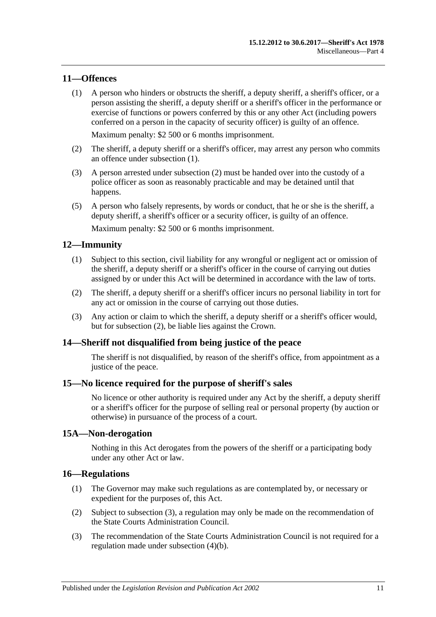#### <span id="page-10-6"></span><span id="page-10-0"></span>**11—Offences**

(1) A person who hinders or obstructs the sheriff, a deputy sheriff, a sheriff's officer, or a person assisting the sheriff, a deputy sheriff or a sheriff's officer in the performance or exercise of functions or powers conferred by this or any other Act (including powers conferred on a person in the capacity of security officer) is guilty of an offence.

Maximum penalty: \$2 500 or 6 months imprisonment.

- <span id="page-10-7"></span>(2) The sheriff, a deputy sheriff or a sheriff's officer, may arrest any person who commits an offence under [subsection](#page-10-6) (1).
- (3) A person arrested under [subsection](#page-10-7) (2) must be handed over into the custody of a police officer as soon as reasonably practicable and may be detained until that happens.
- (5) A person who falsely represents, by words or conduct, that he or she is the sheriff, a deputy sheriff, a sheriff's officer or a security officer, is guilty of an offence.

Maximum penalty: \$2 500 or 6 months imprisonment.

#### <span id="page-10-1"></span>**12—Immunity**

- (1) Subject to this section, civil liability for any wrongful or negligent act or omission of the sheriff, a deputy sheriff or a sheriff's officer in the course of carrying out duties assigned by or under this Act will be determined in accordance with the law of torts.
- <span id="page-10-8"></span>(2) The sheriff, a deputy sheriff or a sheriff's officer incurs no personal liability in tort for any act or omission in the course of carrying out those duties.
- (3) Any action or claim to which the sheriff, a deputy sheriff or a sheriff's officer would, but for [subsection](#page-10-8) (2), be liable lies against the Crown.

#### <span id="page-10-2"></span>**14—Sheriff not disqualified from being justice of the peace**

The sheriff is not disqualified, by reason of the sheriff's office, from appointment as a justice of the peace.

#### <span id="page-10-3"></span>**15—No licence required for the purpose of sheriff's sales**

No licence or other authority is required under any Act by the sheriff, a deputy sheriff or a sheriff's officer for the purpose of selling real or personal property (by auction or otherwise) in pursuance of the process of a court.

#### <span id="page-10-4"></span>**15A—Non-derogation**

Nothing in this Act derogates from the powers of the sheriff or a participating body under any other Act or law.

#### <span id="page-10-10"></span><span id="page-10-5"></span>**16—Regulations**

- (1) The Governor may make such regulations as are contemplated by, or necessary or expedient for the purposes of, this Act.
- (2) Subject to [subsection](#page-10-9) (3), a regulation may only be made on the recommendation of the State Courts Administration Council.
- <span id="page-10-9"></span>(3) The recommendation of the State Courts Administration Council is not required for a regulation made under [subsection](#page-11-0) (4)(b).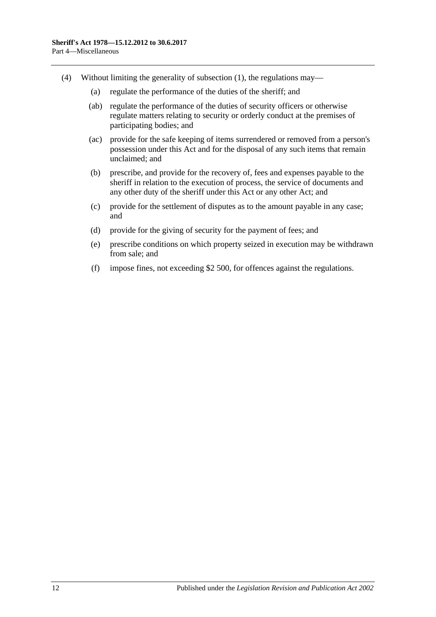- <span id="page-11-0"></span>(4) Without limiting the generality of [subsection](#page-10-10) (1), the regulations may—
	- (a) regulate the performance of the duties of the sheriff; and
	- (ab) regulate the performance of the duties of security officers or otherwise regulate matters relating to security or orderly conduct at the premises of participating bodies; and
	- (ac) provide for the safe keeping of items surrendered or removed from a person's possession under this Act and for the disposal of any such items that remain unclaimed; and
	- (b) prescribe, and provide for the recovery of, fees and expenses payable to the sheriff in relation to the execution of process, the service of documents and any other duty of the sheriff under this Act or any other Act; and
	- (c) provide for the settlement of disputes as to the amount payable in any case; and
	- (d) provide for the giving of security for the payment of fees; and
	- (e) prescribe conditions on which property seized in execution may be withdrawn from sale; and
	- (f) impose fines, not exceeding \$2 500, for offences against the regulations.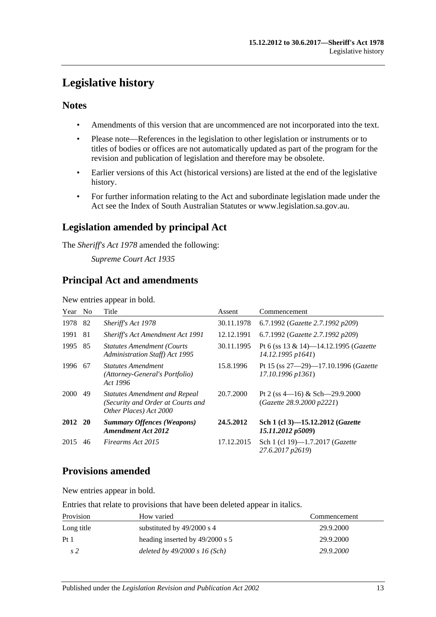## <span id="page-12-0"></span>**Legislative history**

## **Notes**

- Amendments of this version that are uncommenced are not incorporated into the text.
- Please note—References in the legislation to other legislation or instruments or to titles of bodies or offices are not automatically updated as part of the program for the revision and publication of legislation and therefore may be obsolete.
- Earlier versions of this Act (historical versions) are listed at the end of the legislative history.
- For further information relating to the Act and subordinate legislation made under the Act see the Index of South Australian Statutes or www.legislation.sa.gov.au.

## **Legislation amended by principal Act**

The *Sheriff's Act 1978* amended the following:

*Supreme Court Act 1935*

## **Principal Act and amendments**

New entries appear in bold.

| Year No     |     | Title                                                                                               | Assent     | Commencement                                                           |
|-------------|-----|-----------------------------------------------------------------------------------------------------|------------|------------------------------------------------------------------------|
| 1978        | 82  | Sheriff's Act 1978                                                                                  | 30.11.1978 | 6.7.1992 (Gazette 2.7.1992 p209)                                       |
| 1991        | 81  | Sheriff's Act Amendment Act 1991                                                                    | 12.12.1991 | 6.7.1992 (Gazette 2.7.1992 p209)                                       |
| 1995        | 85  | <b>Statutes Amendment (Courts)</b><br>Administration Staff) Act 1995                                | 30.11.1995 | Pt 6 (ss 13 & 14)-14.12.1995 (Gazette<br>14.12.1995 p1641)             |
| 1996        | -67 | <b>Statutes Amendment</b><br>(Attorney-General's Portfolio)<br>Act 1996                             | 15.8.1996  | Pt 15 (ss $27 - 29$ )-17.10.1996 ( <i>Gazette</i><br>17.10.1996 p1361) |
| <b>2000</b> | 49  | <b>Statutes Amendment and Repeal</b><br>(Security and Order at Courts and<br>Other Places) Act 2000 | 20.7.2000  | Pt 2 (ss $4-16$ ) & Sch $-29.9.2000$<br>(Gazette 28.9.2000 p2221)      |
| 2012 20     |     | <b>Summary Offences (Weapons)</b><br><b>Amendment Act 2012</b>                                      | 24.5.2012  | Sch 1 (cl 3)-15.12.2012 (Gazette<br>15.11.2012 p5009)                  |
| 2015        | 46  | Firearms Act 2015                                                                                   | 17.12.2015 | Sch 1 (cl 19)-1.7.2017 (Gazette<br>27.6.2017 p2619)                    |

## **Provisions amended**

New entries appear in bold.

Entries that relate to provisions that have been deleted appear in italics.

| Provision       | How varied                        | Commencement |
|-----------------|-----------------------------------|--------------|
| Long title      | substituted by $49/2000$ s 4      | 29.9.2000    |
| Pt <sub>1</sub> | heading inserted by $49/2000$ s 5 | 29.9.2000    |
| s2              | deleted by $49/2000 s 16$ (Sch)   | 29.9.2000    |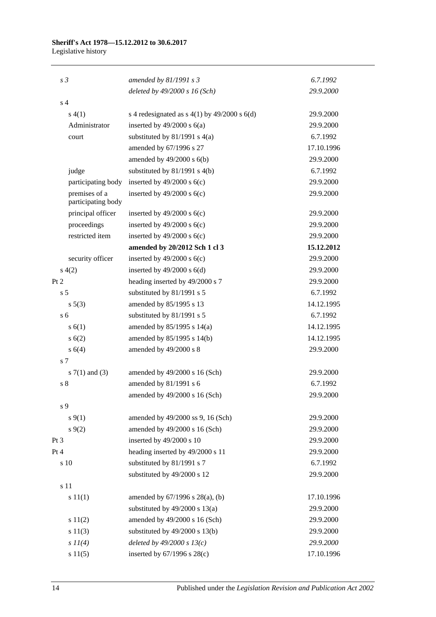## **Sheriff's Act 1978—15.12.2012 to 30.6.2017**

Legislative history

| s <sub>3</sub>                      | amended by $81/1991 s3$                        | 6.7.1992   |
|-------------------------------------|------------------------------------------------|------------|
|                                     | deleted by $49/2000 s 16$ (Sch)                | 29.9.2000  |
| s <sub>4</sub>                      |                                                |            |
| s(4(1))                             | s 4 redesignated as $s$ 4(1) by 49/2000 s 6(d) | 29.9.2000  |
| Administrator                       | inserted by $49/2000$ s $6(a)$                 | 29.9.2000  |
| court                               | substituted by $81/1991$ s $4(a)$              | 6.7.1992   |
|                                     | amended by 67/1996 s 27                        | 17.10.1996 |
|                                     | amended by $49/2000$ s $6(b)$                  | 29.9.2000  |
| judge                               | substituted by $81/1991$ s $4(b)$              | 6.7.1992   |
| participating body                  | inserted by $49/2000$ s $6(c)$                 | 29.9.2000  |
| premises of a<br>participating body | inserted by $49/2000$ s $6(c)$                 | 29.9.2000  |
| principal officer                   | inserted by $49/2000$ s $6(c)$                 | 29.9.2000  |
| proceedings                         | inserted by $49/2000$ s $6(c)$                 | 29.9.2000  |
| restricted item                     | inserted by $49/2000$ s $6(c)$                 | 29.9.2000  |
|                                     | amended by 20/2012 Sch 1 cl 3                  | 15.12.2012 |
| security officer                    | inserted by $49/2000$ s $6(c)$                 | 29.9.2000  |
| s(4(2)                              | inserted by $49/2000$ s $6(d)$                 | 29.9.2000  |
| Pt 2                                | heading inserted by 49/2000 s 7                | 29.9.2000  |
| s <sub>5</sub>                      | substituted by 81/1991 s 5                     | 6.7.1992   |
| $s\ 5(3)$                           | amended by 85/1995 s 13                        | 14.12.1995 |
| s <sub>6</sub>                      | substituted by 81/1991 s 5                     | 6.7.1992   |
| s(6(1))                             | amended by 85/1995 s 14(a)                     | 14.12.1995 |
| s(6(2))                             | amended by 85/1995 s 14(b)                     | 14.12.1995 |
| s 6(4)                              | amended by 49/2000 s 8                         | 29.9.2000  |
| s 7                                 |                                                |            |
| s $7(1)$ and $(3)$                  | amended by 49/2000 s 16 (Sch)                  | 29.9.2000  |
| s <sub>8</sub>                      | amended by 81/1991 s 6                         | 6.7.1992   |
|                                     | amended by 49/2000 s 16 (Sch)                  | 29.9.2000  |
| s 9                                 |                                                |            |
| $s \, 9(1)$                         | amended by 49/2000 ss 9, 16 (Sch)              | 29.9.2000  |
| $s \, 9(2)$                         | amended by 49/2000 s 16 (Sch)                  | 29.9.2000  |
| Pt <sub>3</sub>                     | inserted by 49/2000 s 10                       | 29.9.2000  |
| Pt 4                                | heading inserted by 49/2000 s 11               | 29.9.2000  |
| s 10                                | substituted by 81/1991 s 7                     | 6.7.1992   |
|                                     | substituted by 49/2000 s 12                    | 29.9.2000  |
| s 11                                |                                                |            |
| s 11(1)                             | amended by $67/1996$ s $28(a)$ , (b)           | 17.10.1996 |
|                                     | substituted by $49/2000$ s $13(a)$             | 29.9.2000  |
| s 11(2)                             | amended by 49/2000 s 16 (Sch)                  | 29.9.2000  |
| s 11(3)                             | substituted by $49/2000$ s $13(b)$             | 29.9.2000  |
| $s\ II(4)$                          | deleted by $49/2000 s 13(c)$                   | 29.9.2000  |
| s 11(5)                             | inserted by $67/1996$ s $28(c)$                | 17.10.1996 |
|                                     |                                                |            |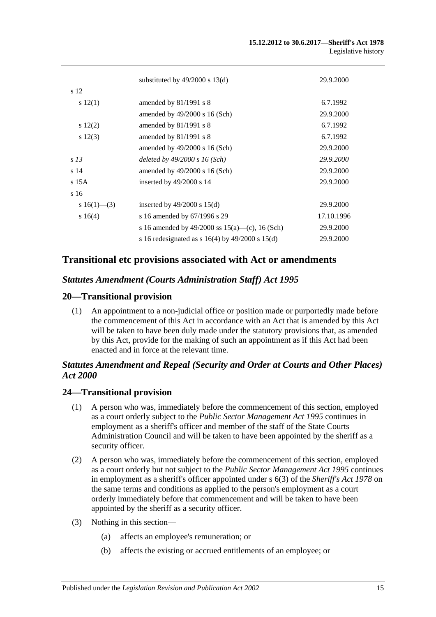|                 | substituted by $49/2000$ s $13(d)$                | 29.9.2000  |
|-----------------|---------------------------------------------------|------------|
| s 12            |                                                   |            |
| s 12(1)         | amended by $81/1991$ s 8                          | 6.7.1992   |
|                 | amended by $49/2000$ s 16 (Sch)                   | 29.9.2000  |
| $s\ 12(2)$      | amended by $81/1991$ s 8                          | 6.7.1992   |
| $s\ 12(3)$      | amended by 81/1991 s 8                            | 6.7.1992   |
|                 | amended by $49/2000$ s 16 (Sch)                   | 29.9.2000  |
| s <sub>13</sub> | deleted by $49/2000 s 16$ (Sch)                   | 29.9.2000  |
| s <sub>14</sub> | amended by $49/2000$ s 16 (Sch)                   | 29.9.2000  |
| $s$ 15 $A$      | inserted by $49/2000$ s 14                        | 29.9.2000  |
| s 16            |                                                   |            |
| s 16(1)–(3)     | inserted by $49/2000$ s $15(d)$                   | 29.9.2000  |
| $s \ 16(4)$     | s 16 amended by 67/1996 s 29                      | 17.10.1996 |
|                 | s 16 amended by 49/2000 ss $15(a)$ —(c), 16 (Sch) | 29.9.2000  |
|                 | s 16 redesignated as s $16(4)$ by 49/2000 s 15(d) | 29.9.2000  |

## **Transitional etc provisions associated with Act or amendments**

#### *Statutes Amendment (Courts Administration Staff) Act 1995*

#### **20—Transitional provision**

(1) An appointment to a non-judicial office or position made or purportedly made before the commencement of this Act in accordance with an Act that is amended by this Act will be taken to have been duly made under the statutory provisions that, as amended by this Act, provide for the making of such an appointment as if this Act had been enacted and in force at the relevant time.

## *Statutes Amendment and Repeal (Security and Order at Courts and Other Places) Act 2000*

#### **24—Transitional provision**

- (1) A person who was, immediately before the commencement of this section, employed as a court orderly subject to the *[Public Sector Management Act](http://www.legislation.sa.gov.au/index.aspx?action=legref&type=act&legtitle=Public%20Sector%20Management%20Act%201995) 1995* continues in employment as a sheriff's officer and member of the staff of the State Courts Administration Council and will be taken to have been appointed by the sheriff as a security officer.
- (2) A person who was, immediately before the commencement of this section, employed as a court orderly but not subject to the *[Public Sector Management Act](http://www.legislation.sa.gov.au/index.aspx?action=legref&type=act&legtitle=Public%20Sector%20Management%20Act%201995) 1995* continues in employment as a sheriff's officer appointed under s 6(3) of the *[Sheriff's Act](http://www.legislation.sa.gov.au/index.aspx?action=legref&type=act&legtitle=Sheriffs%20Act%201978) 1978* on the same terms and conditions as applied to the person's employment as a court orderly immediately before that commencement and will be taken to have been appointed by the sheriff as a security officer.
- (3) Nothing in this section—
	- (a) affects an employee's remuneration; or
	- (b) affects the existing or accrued entitlements of an employee; or